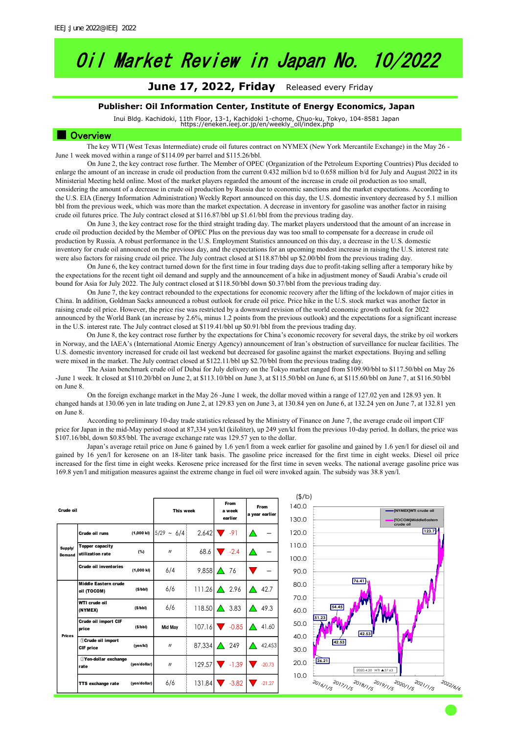# Oil Market Review in Japan No. 10/2022

### June 17, 2022, Friday Released every Friday

#### **Publisher: Oil Information Center, Institute of Energy Economics, Japan**

Inui Bldg. Kachidoki, 11th Floor, 13-1, Kachidoki 1-chome, Chuo-ku, Tokyo, 104-8581 Japan https://eneken.ieej.or.jp/en/weekly\_oil/index.php

#### ■ Overview

The key WTI (West Texas Intermediate) crude oil futures contract on NYMEX (New York Mercantile Exchange) in the May 26 - June 1 week moved within a range of \$114.09 per barrel and \$115.26/bbl.

On June 2, the key contract rose further. The Member of OPEC (Organization of the Petroleum Exporting Countries) Plus decided to enlarge the amount of an increase in crude oil production from the current 0.432 million b/d to 0.658 million b/d for July and August 2022 in its Ministerial Meeting held online. Most of the market players regarded the amount of the increase in crude oil production as too small, considering the amount of a decrease in crude oil production by Russia due to economic sanctions and the market expectations. According to the U.S. EIA (Energy Information Administration) Weekly Report announced on this day, the U.S. domestic inventory decreased by 5.1 million bbl from the previous week, which was more than the market expectation. A decrease in inventory for gasoline was another factor in raising crude oil futures price. The July contract closed at \$116.87/bbl up \$1.61/bbl from the previous trading day.

On June 3, the key contract rose for the third straight trading day. The market players understood that the amount of an increase in crude oil production decided by the Member of OPEC Plus on the previous day was too small to compensate for a decrease in crude oil production by Russia. A robust performance in the U.S. Employment Statistics announced on this day, a decrease in the U.S. domestic inventory for crude oil announced on the previous day, and the expectations for an upcoming modest increase in raising the U.S. interest rate were also factors for raising crude oil price. The July contract closed at \$118.87/bbl up \$2.00/bbl from the previous trading day.

On June 6, the key contract turned down for the first time in four trading days due to profit-taking selling after a temporary hike by the expectations for the recent tight oil demand and supply and the announcement of a hike in adjustment money of Saudi Arabia's crude oil bound for Asia for July 2022. The July contract closed at \$118.50/bbl down \$0.37/bbl from the previous trading day.

On June 7, the key contract rebounded to the expectations for economic recovery after the lifting of the lockdown of major cities in China. In addition, Goldman Sacks announced a robust outlook for crude oil price. Price hike in the U.S. stock market was another factor in raising crude oil price. However, the price rise was restricted by a downward revision of the world economic growth outlook for 2022 announced by the World Bank (an increase by 2.6%, minus 1.2 points from the previous outlook) and the expectations for a significant increase in the U.S. interest rate. The July contract closed at \$119.41/bbl up \$0.91/bbl from the previous trading day.

On June 8, the key contract rose further by the expectations for China's economic recovery for several days, the strike by oil workers in Norway, and the IAEA's (International Atomic Energy Agency) announcement of Iran's obstruction of surveillance for nuclear facilities. The U.S. domestic inventory increased for crude oil last weekend but decreased for gasoline against the market expectations. Buying and selling were mixed in the market. The July contract closed at \$122.11/bbl up \$2.70/bbl from the previous trading day.

The Asian benchmark crude oil of Dubai for July delivery on the Tokyo market ranged from \$109.90/bbl to \$117.50/bbl on May 26 -June 1 week. It closed at \$110.20/bbl on June 2, at \$113.10/bbl on June 3, at \$115.50/bbl on June 6, at \$115.60/bbl on June 7, at \$116.50/bbl on June 8.

On the foreign exchange market in the May 26 -June 1 week, the dollar moved within a range of 127.02 yen and 128.93 yen. It changed hands at 130.06 yen in late trading on June 2, at 129.83 yen on June 3, at 130.84 yen on June 6, at 132.24 yen on June 7, at 132.81 yen on June 8.

According to preliminary 10-day trade statistics released by the Ministry of Finance on June 7, the average crude oil import CIF price for Japan in the mid-May period stood at 87,334 yen/kl (kiloliter), up 249 yen/kl from the previous 10-day period. In dollars, the price was \$107.16/bbl, down \$0.85/bbl. The average exchange rate was 129.57 yen to the dollar.

Japan's average retail price on June 6 gained by 1.6 yen/l from a week earlier for gasoline and gained by 1.6 yen/l for diesel oil and gained by 16 yen/l for kerosene on an 18-liter tank basis. The gasoline price increased for the first time in eight weeks. Diesel oil price increased for the first time in eight weeks. Kerosene price increased for the first time in seven weeks. The national average gasoline price was 169.8 yen/l and mitigation measures against the extreme change in fuel oil were invoked again. The subsidy was 38.8 yen/l.

| Crude oil         |                                     | This week    |                 | From<br>a week<br>earlier | From<br>a year earlier |            |
|-------------------|-------------------------------------|--------------|-----------------|---------------------------|------------------------|------------|
|                   | Crude oil runs                      | (1,000 kl)   | $5/29 \sim 6/4$ |                           | $2.642$ $\sqrt{91}$    |            |
| Supply/<br>Demand | Topper capacity<br>utilization rate | (%)          | $\mathbf{u}$    | 68.6                      | $-2.4$                 |            |
|                   | Crude oil inventories               | (1,000 k)    | 6/4             | 9,858                     | 76<br>$\triangle$      |            |
|                   | Middle Eastern crude<br>oil (TOCOM) | (S/bbl)      | 6/6             | 111.26                    | $\triangle$ 2.96       | 42.7<br>P  |
|                   | WTI crude oil<br>(NYMEX)            | (S/bbl)      | 6/6             | 118.50                    | $\triangle$ 3.83       | 49.3<br>∧  |
| <b>Prices</b>     | Crude oil import CIF<br>price       | (S/bbl)      | <b>Mid Mav</b>  | 107.16                    | $-0.85$                | 41.60<br>P |
|                   | 10Crude oil import<br>CIF price     | (yen/kl)     | $\mathbf{u}$    | 87,334                    | $\triangle$ 249        | 42,453     |
|                   | 2Yen-dollar exchange<br>rate        | (yen/dollar) | $\prime$        | 129.57                    | $-1.39$                | $-20.73$   |
|                   | TTS exchange rate                   | (yen/dollar) | 6/6             |                           | $131.84$ $-3.82$       | $-21.27$   |

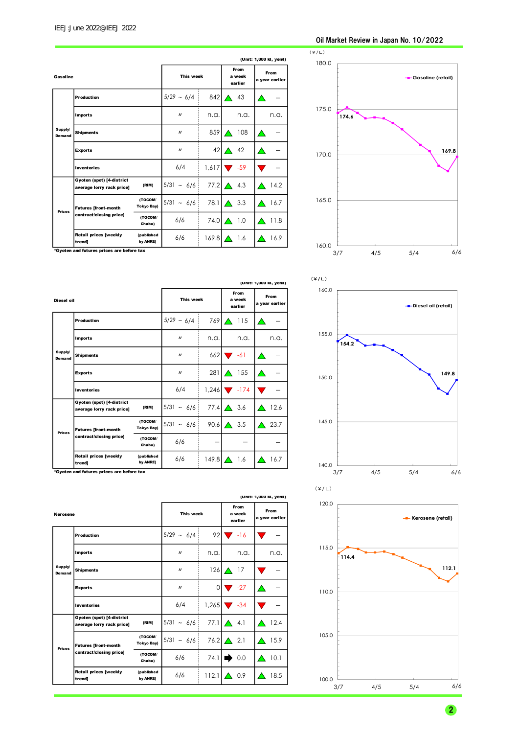#### Oil Market Review in Japan No. 10/2022

|                   | (Unit: 1,000 kl, yen/l)                                |                              |                   |                           |                               |      |
|-------------------|--------------------------------------------------------|------------------------------|-------------------|---------------------------|-------------------------------|------|
| Gasoline          |                                                        | This week                    |                   | From<br>a week<br>earlier | <b>From</b><br>a year earlier |      |
|                   | <b>Production</b>                                      |                              | $5/29 \sim 6/4$   | 842                       | 43                            |      |
|                   | <b>Imports</b>                                         |                              | $\mathbf{u}$      | n.a.                      | n.a.                          | n.a. |
| Supply/<br>Demand | <b>Shipments</b>                                       |                              | $^{\prime\prime}$ | 859                       | 108<br>△                      |      |
|                   | <b>Exports</b>                                         |                              | $\mathbf{u}$      | 42                        | 42<br>△                       |      |
|                   | <b>Inventories</b>                                     |                              | 6/4               | 1,617                     | $\sim$ -59                    |      |
|                   | Gyoten (spot) [4-district<br>average lorry rack price] | (RIM)                        | $5/31 \sim 6/6$   | 77.2                      | 4.3<br>$\triangle$            | 14.2 |
| <b>Prices</b>     | <b>Futures [front-month</b>                            | (TOCOM/<br><b>Tokyo Bay)</b> | $5/31 \sim 6/6$   | 78.1                      | $\triangle$ 3.3               | 16.7 |
|                   | contract/closing price]                                | (TOCOM/<br>Chubu)            | 6/6               | 74.0 $\triangle$          | 1.0                           | 11.8 |
|                   | <b>Retail prices [weekly</b><br>trend]                 | (published<br>by ANRE)       | 6/6               | 169.8                     | 1.6                           | 16.9 |



\*Gyoten and futures prices are before tax

|                   | (Unit: 1,000 kl, yen/l)                                                                              |                        |                   |                           |                          |      |
|-------------------|------------------------------------------------------------------------------------------------------|------------------------|-------------------|---------------------------|--------------------------|------|
| Diesel oil        |                                                                                                      | This week              |                   | From<br>a week<br>earlier | From<br>a year earlier   |      |
|                   | <b>Production</b>                                                                                    |                        | $5/29 \sim 6/4$   | 769                       | 115<br>╱                 |      |
|                   | <b>Imports</b>                                                                                       |                        | $\prime$          | n.a.                      | n.a.                     | n.a. |
| Supply/<br>Demand | <b>Shipments</b>                                                                                     |                        | $^{\prime\prime}$ | 662                       | $\blacktriangledown$ -61 |      |
|                   | <b>Exports</b>                                                                                       |                        | $\prime$          | 281                       | 155<br>△                 |      |
|                   | <b>Inventories</b>                                                                                   |                        | 6/4               | 1,246                     | $\blacksquare$ -174      |      |
|                   | Gyoten (spot) [4-district<br>average lorry rack price]                                               | (RIM)                  | $5/31 \sim 6/6$   |                           | 77.4 $\Delta$<br>3.6     | 12.6 |
| <b>Prices</b>     | (TOCOM/<br>Tokyo Bay)<br><b>Futures [front-month</b><br>contract/closing price]<br>(TOCOM/<br>Chubu) |                        | $5/31 \sim 6/6$   | 90.6                      | 3.5<br>$\triangle$       | 23.7 |
|                   |                                                                                                      | 6/6                    |                   |                           |                          |      |
|                   | <b>Retail prices [weekly</b><br>trend]                                                               | (published<br>by ANRE) | 6/6               | 149.8                     | 1.6                      | 16.7 |

\*Gyoten and futures prices are before tax

|                   |                                                        |                        |                   |                           |                               | (Unit: 1,000 kl, yen/l) |
|-------------------|--------------------------------------------------------|------------------------|-------------------|---------------------------|-------------------------------|-------------------------|
| Kerosene          |                                                        | This week              |                   | From<br>a week<br>earlier | <b>From</b><br>a year earlier |                         |
|                   | <b>Production</b>                                      |                        | $5/29 \sim 6/4$   | 92                        | $-16$                         |                         |
|                   | <b>Imports</b>                                         |                        | $\prime$          | n.a.                      | n.a.                          | n.a.                    |
| Supply/<br>Demand | <b>Shipments</b>                                       |                        | $\prime$          |                           | $126\Delta$<br>-17            |                         |
|                   | <b>Exports</b>                                         |                        | $^{\prime\prime}$ | $\Omega$                  | $\blacktriangledown$ -27      |                         |
|                   | <b>Inventories</b>                                     |                        | 6/4               | 1,265                     | $\blacktriangledown$ -34      |                         |
|                   | Gyoten (spot) [4-district<br>average lorry rack price] | (RIM)                  | $5/31 \sim 6/6$   | 77.1 $\Delta$             | 4.1                           | 12.4                    |
| <b>Prices</b>     | <b>Futures [front-month</b>                            | (TOCOM/<br>Tokyo Bay)  | $5/31 \sim 6/6$   | 76.2 $\Delta$             | 2.1                           | 15.9                    |
|                   | contract/closing price]                                | (TOCOM/<br>Chubu)      | 6/6               | 74.1                      | 0.0                           | 10.1                    |
|                   | <b>Retail prices [weekly</b><br>trend]                 | (published<br>by ANRE) | 6/6               | 112.1                     | 0.9<br>↗                      | 18.5<br>╱               |





2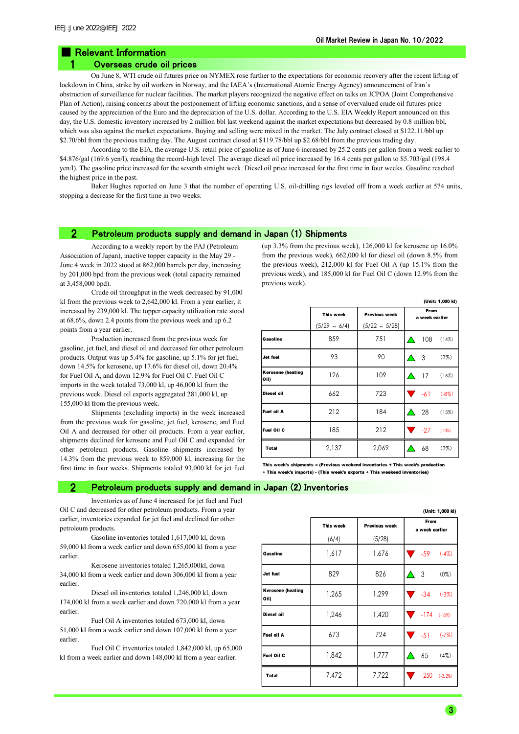## ■ Relevant Information

### 1 Overseas crude oil prices

On June 8, WTI crude oil futures price on NYMEX rose further to the expectations for economic recovery after the recent lifting of lockdown in China, strike by oil workers in Norway, and the IAEA's (International Atomic Energy Agency) announcement of Iran's obstruction of surveillance for nuclear facilities. The market players recognized the negative effect on talks on JCPOA (Joint Comprehensive Plan of Action), raising concerns about the postponement of lifting economic sanctions, and a sense of overvalued crude oil futures price caused by the appreciation of the Euro and the depreciation of the U.S. dollar. According to the U.S. EIA Weekly Report announced on this day, the U.S. domestic inventory increased by 2 million bbl last weekend against the market expectations but decreased by 0.8 million bbl, which was also against the market expectations. Buying and selling were mixed in the market. The July contract closed at \$122.11/bbl up \$2.70/bbl from the previous trading day. The August contract closed at \$119.78/bbl up \$2.68/bbl from the previous trading day.

According to the EIA, the average U.S. retail price of gasoline as of June 6 increased by 25.2 cents per gallon from a week earlier to \$4.876/gal (169.6 yen/l), reaching the record-high level. The average diesel oil price increased by 16.4 cents per gallon to \$5.703/gal (198.4) yen/l). The gasoline price increased for the seventh straight week. Diesel oil price increased for the first time in four weeks. Gasoline reached the highest price in the past.

Baker Hughes reported on June 3 that the number of operating U.S. oil-drilling rigs leveled off from a week earlier at 574 units, stopping a decrease for the first time in two weeks.

#### 2 Petroleum products supply and demand in Japan (1) Shipments

According to a weekly report by the PAJ (Petroleum Association of Japan), inactive topper capacity in the May 29 - June 4 week in 2022 stood at 862,000 barrels per day, increasing by 201,000 bpd from the previous week (total capacity remained at 3,458,000 bpd).

Crude oil throughput in the week decreased by 91,000 kl from the previous week to 2,642,000 kl. From a year earlier, it increased by 239,000 kl. The topper capacity utilization rate stood at 68.6%, down 2.4 points from the previous week and up 6.2 points from a year earlier.

Production increased from the previous week for gasoline, jet fuel, and diesel oil and decreased for other petroleum products. Output was up 5.4% for gasoline, up 5.1% for jet fuel, down 14.5% for kerosene, up 17.6% for diesel oil, down 20.4% for Fuel Oil A, and down 12.9% for Fuel Oil C. Fuel Oil C imports in the week totaled 73,000 kl, up 46,000 kl from the previous week. Diesel oil exports aggregated 281,000 kl, up 155,000 kl from the previous week.

Shipments (excluding imports) in the week increased from the previous week for gasoline, jet fuel, kerosene, and Fuel Oil A and decreased for other oil products. From a year earlier, shipments declined for kerosene and Fuel Oil C and expanded for other petroleum products. Gasoline shipments increased by 14.3% from the previous week to 859,000 kl, increasing for the first time in four weeks. Shipments totaled 93,000 kl for jet fuel (up 3.3% from the previous week), 126,000 kl for kerosene up 16.0% from the previous week), 662,000 kl for diesel oil (down 8.5% from the previous week), 212,000 kl for Fuel Oil A (up 15.1% from the previous week), and 185,000 kl for Fuel Oil C (down 12.9% from the previous week).

|                                  | (Unit: 1,000 kl)  |                      |  |                        |          |
|----------------------------------|-------------------|----------------------|--|------------------------|----------|
|                                  | This week         | <b>Previous week</b> |  | From<br>a week earlier |          |
|                                  | $(5/29 \sim 6/4)$ | $(5/22 \sim 5/28)$   |  |                        |          |
| Gasoline                         | 859               | 751                  |  | 108                    | (14%)    |
| Jet fuel                         | 93                | 90                   |  | -3                     | (3%)     |
| <b>Kerosene (heating</b><br>Oil) | 126               | 109                  |  | 17                     | (16%)    |
| Diesel oil                       | 662               | 723                  |  | $-61$                  | $(-8%)$  |
| Fuel oil A                       | 212               | 184                  |  | -28                    | (15%)    |
| Fuel Oil C                       | 185               | 212                  |  | $-27$                  | $(-13%)$ |
| <b>Total</b>                     | 2,137             | 2,069                |  | 68                     | (3%)     |

This week's shipments = (Previous weekend inventories + This week's prod + This week's imports) - (This week's exports + This weekend inventories)

#### 2 Petroleum products supply and demand in Japan (2) Inventories

Inventories as of June 4 increased for jet fuel and Fuel Oil C and decreased for other petroleum products. From a year earlier, inventories expanded for jet fuel and declined for other petroleum products.

Gasoline inventories totaled 1,617,000 kl, down 59,000 kl from a week earlier and down 655,000 kl from a year earlier.

Kerosene inventories totaled 1,265,000kl, down 34,000 kl from a week earlier and down 306,000 kl from a year earlier.

Diesel oil inventories totaled 1,246,000 kl, down 174,000 kl from a week earlier and down 720,000 kl from a year earlier.

Fuel Oil A inventories totaled 673,000 kl, down 51,000 kl from a week earlier and down 107,000 kl from a year earlier.

Fuel Oil C inventories totaled 1,842,000 kl, up 65,000 kl from a week earlier and down 148,000 kl from a year earlier.

|                                  |           |               | (Unit: 1,000 kl)       |
|----------------------------------|-----------|---------------|------------------------|
|                                  | This week | Previous week | From<br>a week earlier |
|                                  | (6/4)     | (5/28)        |                        |
| Gasoline                         | 1,617     | 1,676         | $-59$ $(-4\%)$         |
| Jet fuel                         | 829       | 826           | 3<br>$(0\%)$           |
| <b>Kerosene (heating</b><br>Oil) | 1,265     | 1,299         | $\sqrt{34}$<br>$(-3%)$ |
| Diesel oil                       | 1,246     | 1,420         | $-174$ $(-12\%)$       |
| Fuel oil A                       | 673       | 724           | $\sqrt{51}$<br>$(-7%)$ |
| Fuel Oil C                       | 1,842     | 1,777         | 65<br>(4%)             |
| Total                            | 7,472     | 7,722         | $-250$<br>$(-3.2\%)$   |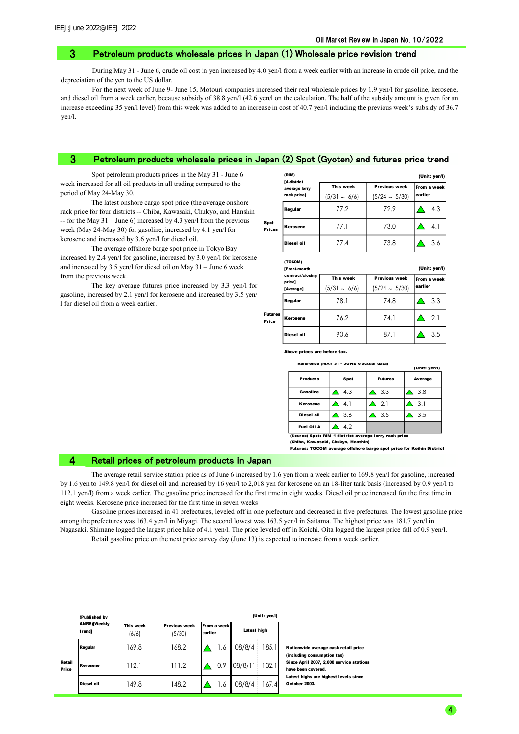#### 3 Petroleum products wholesale prices in Japan (1) Wholesale price revision trend

During May 31 - June 6, crude oil cost in yen increased by 4.0 yen/l from a week earlier with an increase in crude oil price, and the depreciation of the yen to the US dollar.

For the next week of June 9- June 15, Motouri companies increased their real wholesale prices by 1.9 yen/l for gasoline, kerosene, and diesel oil from a week earlier, because subsidy of 38.8 yen/l (42.6 yen/l on the calculation. The half of the subsidy amount is given for an increase exceeding 35 yen/l level) from this week was added to an increase in cost of 40.7 yen/l including the previous week's subsidy of 36.7 yen/l.

#### Petroleum products wholesale prices in Japan (2) Spot (Gyoten) and futures price trend 3

Sp P<sub>r</sub>

Price

Spot petroleum products prices in the May 31 - June 6 week increased for all oil products in all trading compared to the period of May 24-May 30.

The latest onshore cargo spot price (the average onshore rack price for four districts -- Chiba, Kawasaki, Chukyo, and Hanshin -- for the May  $31 -$ June 6) increased by 4.3 yen/l from the previous week (May 24-May 30) for gasoline, increased by 4.1 yen/l for kerosene and increased by 3.6 yen/l for diesel oil.

The average offshore barge spot price in Tokyo Bay increased by 2.4 yen/l for gasoline, increased by 3.0 yen/l for kerosene and increased by 3.5 yen/l for diesel oil on May 31 – June 6 week from the previous week.

The key average futures price increased by 3.3 yen/l for gasoline, increased by 2.1 yen/l for kerosene and increased by 3.5 yen/ l for diesel oil from a week earlier.

|            | (RIM)<br>[4-district         |                                |                                            | (Unit: yen/l)          |  |
|------------|------------------------------|--------------------------------|--------------------------------------------|------------------------|--|
|            | average lorry<br>rack price] | This week<br>$(5/31 \sim 6/6)$ | <b>Previous week</b><br>$(5/24 \sim 5/30)$ | From a week<br>earlier |  |
|            | Regular                      | 77.2                           | 72.9                                       | 4.3                    |  |
| ot<br>ices | Kerosene                     | 77.1                           | 73.0                                       | 4.1                    |  |
|            | Diesel oil                   | 77.4                           | 73.8                                       | 3.6                    |  |

|  | н |  | N<br>٠ |  |  |
|--|---|--|--------|--|--|
|  |   |  |        |  |  |

|                  | [Front-month               |                   |                      | (Unit: yen/l) |
|------------------|----------------------------|-------------------|----------------------|---------------|
|                  | contract/closing<br>price] | This week         | <b>Previous week</b> | From a week   |
|                  | [Average]                  | $(5/31 \sim 6/6)$ | $(5/24 \sim 5/30)$   | earlier       |
|                  | Regular                    | 78.1              | 74.8                 | 3.3           |
| Futures<br>Price | Kerosene                   | 76.2              | 74.1                 | 2.1           |
|                  | Diesel oil                 | 90.6              | 87.1                 | 3.5           |

ve prices are before tax.

Reference (MAY 31 - JUNE 6 actual data)

|                 |              |                | (Unit: yen/l) |
|-----------------|--------------|----------------|---------------|
| <b>Products</b> | Spot         | <b>Futures</b> | Average       |
| Gasoline        | 4.3          | 3.3            | 3.8           |
| Kerosene        | $-4.1$       | 2.1            | 3.1           |
| Diesel oil      | $\Delta$ 3.6 | 3.5            | 3.5           |
| Fuel Oil A      | 42           |                |               |

(Chiba, Kawasaki, Chukyo, Hanshin) urce) Spot: RIM 4-district average lorry rack price

Futures: TOCOM average offshore barge spot price for Keihin District

#### 4 Retail prices of petroleum products in Japan

The average retail service station price as of June 6 increased by 1.6 yen from a week earlier to 169.8 yen/l for gasoline, increased by 1.6 yen to 149.8 yen/l for diesel oil and increased by 16 yen/l to 2,018 yen for kerosene on an 18-liter tank basis (increased by 0.9 yen/l to 112.1 yen/l) from a week earlier. The gasoline price increased for the first time in eight weeks. Diesel oil price increased for the first time in eight weeks. Kerosene price increased for the first time in seven weeks

Gasoline prices increased in 41 prefectures, leveled off in one prefecture and decreased in five prefectures. The lowest gasoline price among the prefectures was 163.4 yen/l in Miyagi. The second lowest was 163.5 yen/l in Saitama. The highest price was 181.7 yen/l in Nagasaki. Shimane logged the largest price hike of 4.1 yen/l. The price leveled off in Koichi. Oita logged the largest price fall of 0.9 yen/l.

Retail gasoline price on the next price survey day (June 13) is expected to increase from a week earlier.

|                 | (Published by                 |                    |                                |                        |             | (Unit: yen/l) |
|-----------------|-------------------------------|--------------------|--------------------------------|------------------------|-------------|---------------|
|                 | <b>ANRE)[Weekly</b><br>trend] | This week<br>(6/6) | <b>Previous week</b><br>(5/30) | From a week<br>earlier | Latest high |               |
|                 | Regular                       | 169.8              | 168.2                          | 1.6                    | 08/8/4      | 185.1         |
| Retail<br>Price | Kerosene                      | 112.1              | 111.2                          | 0.9                    | 08/8/11     | 132.1         |
|                 | Diesel oil                    | 149.8              | 148.2                          | 1.6                    | 08/8/4      | 167.4         |

Nationwide average cash retail price (including consumption tax) Since April 2007, 2,000 service stations have been covered. Latest highs are highest levels since October 2003.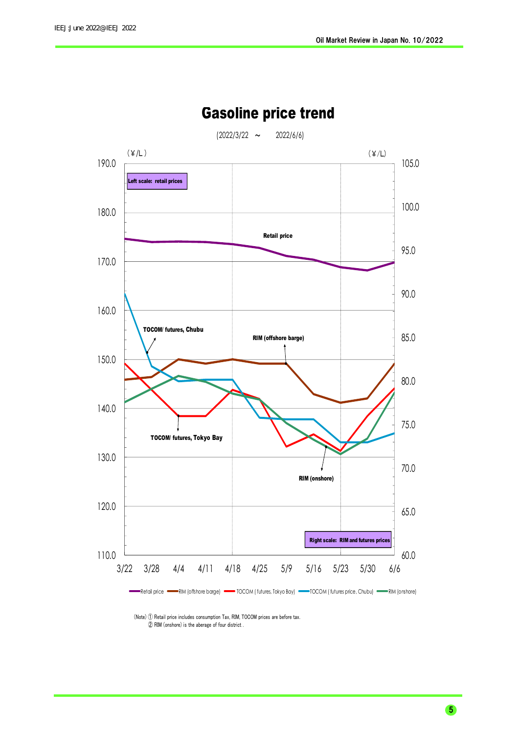

## Gasoline price trend

 (Note) ① Retail price includes consumption Tax, RIM, TOCOM prices are before tax. ② RIM (onshore) is the aberage of four district .